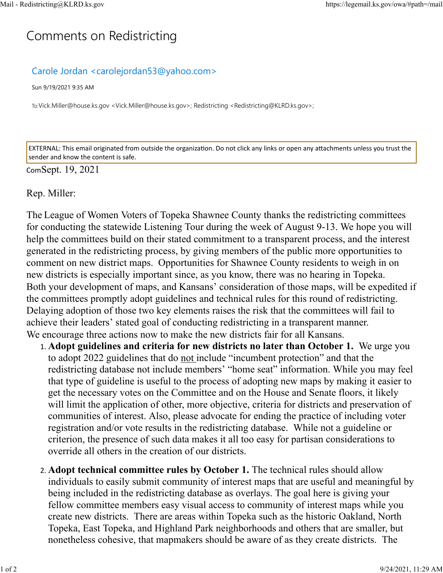## C[omm](https://legemail.ks.gov/owa/#path=/mail)ents on Redistricting

## Carole Jordan <carolejordan53@yahoo.com>

Sun 9/19/2021 9:35 AM

To:Vick.Miller@house.ks.gov <Vick.Miller@house.ks.gov>; Redistricting <Redistricting@KLRD.ks.gov>;

EXTERNAL: This email originated from outside the organization. Do not click any links or open any attachments unless you trust the sender and know the content is safe.

## ComSept. 19, 2021

## Rep. Miller:

The League of Women Voters of Topeka Shawnee County thanks the redistricting committees for conducting the statewide Listening Tour during the week of August 9-13. We hope you will help the committees build on their stated commitment to a transparent process, and the interest generated in the redistricting process, by giving members of the public more opportunities to comment on new district maps. Opportunities for Shawnee County residents to weigh in on new districts is especially important since, as you know, there was no hearing in Topeka. Both your development of maps, and Kansans' consideration of those maps, will be expedited if the committees promptly adopt guidelines and technical rules for this round of redistricting. Delaying adoption of those two key elements raises the risk that the committees will fail to achieve their leaders' stated goal of conducting redistricting in a transparent manner. We encourage three actions now to make the new districts fair for all Kansans.

- 1. **Adopt guidelines and criteria for new districts no later than October 1.** We urge you to adopt 2022 guidelines that do not include "incumbent protection" and that the redistricting database not include members' "home seat" information. While you may feel that type of guideline is useful to the process of adopting new maps by making it easier to get the necessary votes on the Committee and on the House and Senate floors, it likely will limit the application of other, more objective, criteria for districts and preservation of communities of interest. Also, please advocate for ending the practice of including voter registration and/or vote results in the redistricting database. While not a guideline or criterion, the presence of such data makes it all too easy for partisan considerations to override all others in the creation of our districts.
- 2. **Adopt technical committee rules by October 1.** The technical rules should allow individuals to easily submit community of interest maps that are useful and meaningful by being included in the redistricting database as overlays. The goal here is giving your fellow committee members easy visual access to community of interest maps while you create new districts. There are areas within Topeka such as the historic Oakland, North Topeka, East Topeka, and Highland Park neighborhoods and others that are smaller, but nonetheless cohesive, that mapmakers should be aware of as they create districts. The